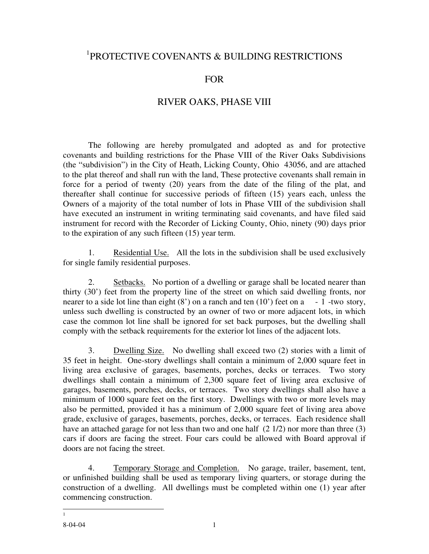## 1 PROTECTIVE COVENANTS & BUILDING RESTRICTIONS

## FOR

## RIVER OAKS, PHASE VIII

 The following are hereby promulgated and adopted as and for protective covenants and building restrictions for the Phase VIII of the River Oaks Subdivisions (the "subdivision") in the City of Heath, Licking County, Ohio 43056, and are attached to the plat thereof and shall run with the land, These protective covenants shall remain in force for a period of twenty (20) years from the date of the filing of the plat, and thereafter shall continue for successive periods of fifteen (15) years each, unless the Owners of a majority of the total number of lots in Phase VIII of the subdivision shall have executed an instrument in writing terminating said covenants, and have filed said instrument for record with the Recorder of Licking County, Ohio, ninety (90) days prior to the expiration of any such fifteen (15) year term.

 1. Residential Use. All the lots in the subdivision shall be used exclusively for single family residential purposes.

2. Setbacks. No portion of a dwelling or garage shall be located nearer than thirty (30') feet from the property line of the street on which said dwelling fronts, nor nearer to a side lot line than eight  $(8')$  on a ranch and ten  $(10')$  feet on a - 1 -two story, unless such dwelling is constructed by an owner of two or more adjacent lots, in which case the common lot line shall be ignored for set back purposes, but the dwelling shall comply with the setback requirements for the exterior lot lines of the adjacent lots.

 3. Dwelling Size. No dwelling shall exceed two (2) stories with a limit of 35 feet in height. One-story dwellings shall contain a minimum of 2,000 square feet in living area exclusive of garages, basements, porches, decks or terraces. Two story dwellings shall contain a minimum of 2,300 square feet of living area exclusive of garages, basements, porches, decks, or terraces. Two story dwellings shall also have a minimum of 1000 square feet on the first story. Dwellings with two or more levels may also be permitted, provided it has a minimum of 2,000 square feet of living area above grade, exclusive of garages, basements, porches, decks, or terraces. Each residence shall have an attached garage for not less than two and one half  $(2 1/2)$  nor more than three  $(3)$ cars if doors are facing the street. Four cars could be allowed with Board approval if doors are not facing the street.

 4. Temporary Storage and Completion. No garage, trailer, basement, tent, or unfinished building shall be used as temporary living quarters, or storage during the construction of a dwelling. All dwellings must be completed within one (1) year after commencing construction.

 $\overline{a}$ 1

<sup>8-04-04 1</sup>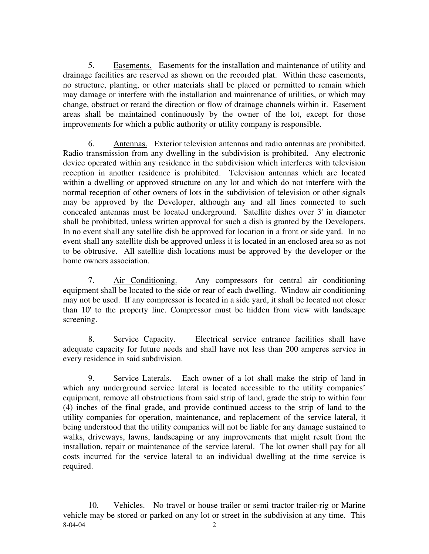5. Easements. Easements for the installation and maintenance of utility and drainage facilities are reserved as shown on the recorded plat. Within these easements, no structure, planting, or other materials shall be placed or permitted to remain which may damage or interfere with the installation and maintenance of utilities, or which may change, obstruct or retard the direction or flow of drainage channels within it. Easement areas shall be maintained continuously by the owner of the lot, except for those improvements for which a public authority or utility company is responsible.

 6. Antennas. Exterior television antennas and radio antennas are prohibited. Radio transmission from any dwelling in the subdivision is prohibited. Any electronic device operated within any residence in the subdivision which interferes with television reception in another residence is prohibited. Television antennas which are located within a dwelling or approved structure on any lot and which do not interfere with the normal reception of other owners of lots in the subdivision of television or other signals may be approved by the Developer, although any and all lines connected to such concealed antennas must be located underground. Satellite dishes over 3' in diameter shall be prohibited, unless written approval for such a dish is granted by the Developers. In no event shall any satellite dish be approved for location in a front or side yard. In no event shall any satellite dish be approved unless it is located in an enclosed area so as not to be obtrusive. All satellite dish locations must be approved by the developer or the home owners association.

 7. Air Conditioning. Any compressors for central air conditioning equipment shall be located to the side or rear of each dwelling. Window air conditioning may not be used. If any compressor is located in a side yard, it shall be located not closer than 10' to the property line. Compressor must be hidden from view with landscape screening.

 8. Service Capacity. Electrical service entrance facilities shall have adequate capacity for future needs and shall have not less than 200 amperes service in every residence in said subdivision.

 9. Service Laterals. Each owner of a lot shall make the strip of land in which any underground service lateral is located accessible to the utility companies' equipment, remove all obstructions from said strip of land, grade the strip to within four (4) inches of the final grade, and provide continued access to the strip of land to the utility companies for operation, maintenance, and replacement of the service lateral, it being understood that the utility companies will not be liable for any damage sustained to walks, driveways, lawns, landscaping or any improvements that might result from the installation, repair or maintenance of the service lateral. The lot owner shall pay for all costs incurred for the service lateral to an individual dwelling at the time service is required.

8-04-04 2 10. Vehicles. No travel or house trailer or semi tractor trailer-rig or Marine vehicle may be stored or parked on any lot or street in the subdivision at any time. This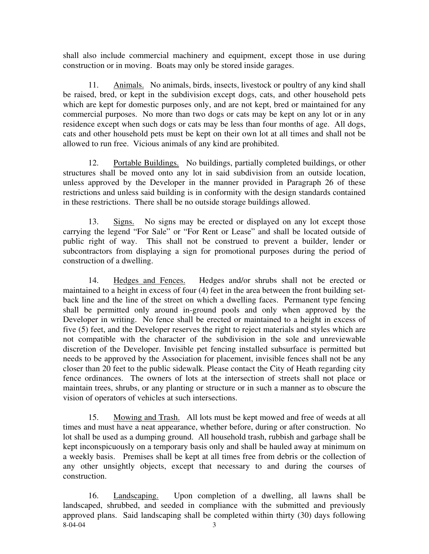shall also include commercial machinery and equipment, except those in use during construction or in moving. Boats may only be stored inside garages.

 11. Animals. No animals, birds, insects, livestock or poultry of any kind shall be raised, bred, or kept in the subdivision except dogs, cats, and other household pets which are kept for domestic purposes only, and are not kept, bred or maintained for any commercial purposes. No more than two dogs or cats may be kept on any lot or in any residence except when such dogs or cats may be less than four months of age. All dogs, cats and other household pets must be kept on their own lot at all times and shall not be allowed to run free. Vicious animals of any kind are prohibited.

 12. Portable Buildings. No buildings, partially completed buildings, or other structures shall be moved onto any lot in said subdivision from an outside location, unless approved by the Developer in the manner provided in Paragraph 26 of these restrictions and unless said building is in conformity with the design standards contained in these restrictions. There shall be no outside storage buildings allowed.

 13. Signs. No signs may be erected or displayed on any lot except those carrying the legend "For Sale" or "For Rent or Lease" and shall be located outside of public right of way. This shall not be construed to prevent a builder, lender or subcontractors from displaying a sign for promotional purposes during the period of construction of a dwelling.

 14. Hedges and Fences. Hedges and/or shrubs shall not be erected or maintained to a height in excess of four (4) feet in the area between the front building setback line and the line of the street on which a dwelling faces. Permanent type fencing shall be permitted only around in-ground pools and only when approved by the Developer in writing. No fence shall be erected or maintained to a height in excess of five (5) feet, and the Developer reserves the right to reject materials and styles which are not compatible with the character of the subdivision in the sole and unreviewable discretion of the Developer. Invisible pet fencing installed subsurface is permitted but needs to be approved by the Association for placement, invisible fences shall not be any closer than 20 feet to the public sidewalk. Please contact the City of Heath regarding city fence ordinances. The owners of lots at the intersection of streets shall not place or maintain trees, shrubs, or any planting or structure or in such a manner as to obscure the vision of operators of vehicles at such intersections.

 15. Mowing and Trash. All lots must be kept mowed and free of weeds at all times and must have a neat appearance, whether before, during or after construction. No lot shall be used as a dumping ground. All household trash, rubbish and garbage shall be kept inconspicuously on a temporary basis only and shall be hauled away at minimum on a weekly basis. Premises shall be kept at all times free from debris or the collection of any other unsightly objects, except that necessary to and during the courses of construction.

 $8-04-04$  3 16. Landscaping. Upon completion of a dwelling, all lawns shall be landscaped, shrubbed, and seeded in compliance with the submitted and previously approved plans. Said landscaping shall be completed within thirty (30) days following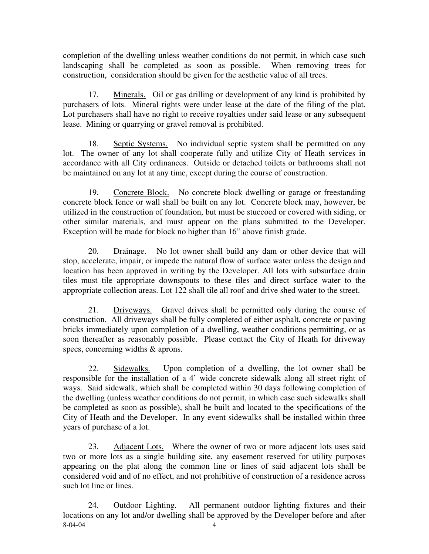completion of the dwelling unless weather conditions do not permit, in which case such landscaping shall be completed as soon as possible. When removing trees for construction, consideration should be given for the aesthetic value of all trees.

 17. Minerals. Oil or gas drilling or development of any kind is prohibited by purchasers of lots. Mineral rights were under lease at the date of the filing of the plat. Lot purchasers shall have no right to receive royalties under said lease or any subsequent lease. Mining or quarrying or gravel removal is prohibited.

 18. Septic Systems. No individual septic system shall be permitted on any lot. The owner of any lot shall cooperate fully and utilize City of Heath services in accordance with all City ordinances. Outside or detached toilets or bathrooms shall not be maintained on any lot at any time, except during the course of construction.

 19. Concrete Block. No concrete block dwelling or garage or freestanding concrete block fence or wall shall be built on any lot. Concrete block may, however, be utilized in the construction of foundation, but must be stuccoed or covered with siding, or other similar materials, and must appear on the plans submitted to the Developer. Exception will be made for block no higher than 16" above finish grade.

 20. Drainage. No lot owner shall build any dam or other device that will stop, accelerate, impair, or impede the natural flow of surface water unless the design and location has been approved in writing by the Developer. All lots with subsurface drain tiles must tile appropriate downspouts to these tiles and direct surface water to the appropriate collection areas. Lot 122 shall tile all roof and drive shed water to the street.

 21. Driveways. Gravel drives shall be permitted only during the course of construction. All driveways shall be fully completed of either asphalt, concrete or paving bricks immediately upon completion of a dwelling, weather conditions permitting, or as soon thereafter as reasonably possible. Please contact the City of Heath for driveway specs, concerning widths & aprons.

 22. Sidewalks. Upon completion of a dwelling, the lot owner shall be responsible for the installation of a 4' wide concrete sidewalk along all street right of ways. Said sidewalk, which shall be completed within 30 days following completion of the dwelling (unless weather conditions do not permit, in which case such sidewalks shall be completed as soon as possible), shall be built and located to the specifications of the City of Heath and the Developer. In any event sidewalks shall be installed within three years of purchase of a lot.

 23. Adjacent Lots. Where the owner of two or more adjacent lots uses said two or more lots as a single building site, any easement reserved for utility purposes appearing on the plat along the common line or lines of said adjacent lots shall be considered void and of no effect, and not prohibitive of construction of a residence across such lot line or lines.

8-04-04 4 24. Outdoor Lighting. All permanent outdoor lighting fixtures and their locations on any lot and/or dwelling shall be approved by the Developer before and after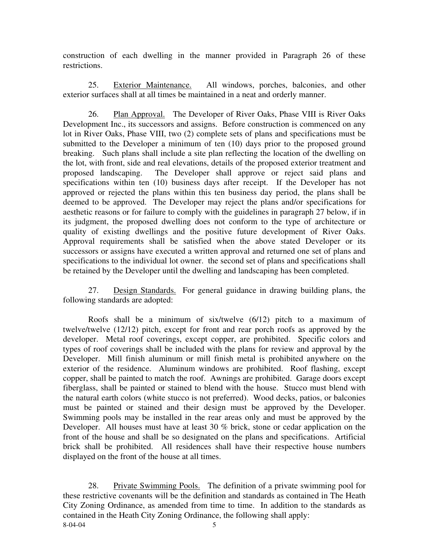construction of each dwelling in the manner provided in Paragraph 26 of these restrictions.

 25. Exterior Maintenance. All windows, porches, balconies, and other exterior surfaces shall at all times be maintained in a neat and orderly manner.

26. Plan Approval. The Developer of River Oaks, Phase VIII is River Oaks Development Inc., its successors and assigns. Before construction is commenced on any lot in River Oaks, Phase VIII, two (2) complete sets of plans and specifications must be submitted to the Developer a minimum of ten (10) days prior to the proposed ground breaking. Such plans shall include a site plan reflecting the location of the dwelling on the lot, with front, side and real elevations, details of the proposed exterior treatment and proposed landscaping. The Developer shall approve or reject said plans and specifications within ten (10) business days after receipt. If the Developer has not approved or rejected the plans within this ten business day period, the plans shall be deemed to be approved. The Developer may reject the plans and/or specifications for aesthetic reasons or for failure to comply with the guidelines in paragraph 27 below, if in its judgment, the proposed dwelling does not conform to the type of architecture or quality of existing dwellings and the positive future development of River Oaks. Approval requirements shall be satisfied when the above stated Developer or its successors or assigns have executed a written approval and returned one set of plans and specifications to the individual lot owner. the second set of plans and specifications shall be retained by the Developer until the dwelling and landscaping has been completed.

 27. Design Standards. For general guidance in drawing building plans, the following standards are adopted:

 Roofs shall be a minimum of six/twelve (6/12) pitch to a maximum of twelve/twelve (12/12) pitch, except for front and rear porch roofs as approved by the developer. Metal roof coverings, except copper, are prohibited. Specific colors and types of roof coverings shall be included with the plans for review and approval by the Developer. Mill finish aluminum or mill finish metal is prohibited anywhere on the exterior of the residence. Aluminum windows are prohibited. Roof flashing, except copper, shall be painted to match the roof. Awnings are prohibited. Garage doors except fiberglass, shall be painted or stained to blend with the house. Stucco must blend with the natural earth colors (white stucco is not preferred). Wood decks, patios, or balconies must be painted or stained and their design must be approved by the Developer. Swimming pools may be installed in the rear areas only and must be approved by the Developer. All houses must have at least 30 % brick, stone or cedar application on the front of the house and shall be so designated on the plans and specifications. Artificial brick shall be prohibited. All residences shall have their respective house numbers displayed on the front of the house at all times.

8-04-04 5 28. Private Swimming Pools. The definition of a private swimming pool for these restrictive covenants will be the definition and standards as contained in The Heath City Zoning Ordinance, as amended from time to time. In addition to the standards as contained in the Heath City Zoning Ordinance, the following shall apply: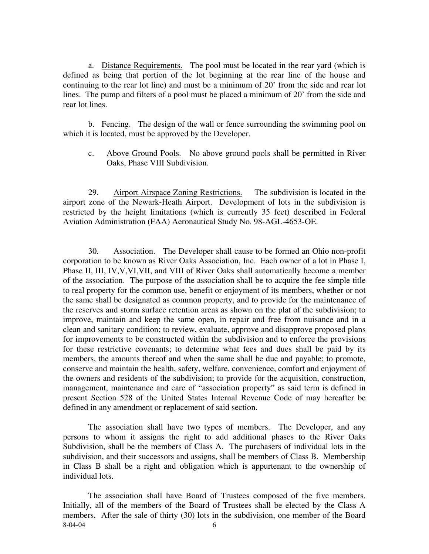a. Distance Requirements. The pool must be located in the rear yard (which is defined as being that portion of the lot beginning at the rear line of the house and continuing to the rear lot line) and must be a minimum of 20' from the side and rear lot lines. The pump and filters of a pool must be placed a minimum of 20' from the side and rear lot lines.

 b. Fencing. The design of the wall or fence surrounding the swimming pool on which it is located, must be approved by the Developer.

c. Above Ground Pools. No above ground pools shall be permitted in River Oaks, Phase VIII Subdivision.

29. Airport Airspace Zoning Restrictions. The subdivision is located in the airport zone of the Newark-Heath Airport. Development of lots in the subdivision is restricted by the height limitations (which is currently 35 feet) described in Federal Aviation Administration (FAA) Aeronautical Study No. 98-AGL-4653-OE.

 30. Association. The Developer shall cause to be formed an Ohio non-profit corporation to be known as River Oaks Association, Inc. Each owner of a lot in Phase I, Phase II, III, IV,V,VI,VII, and VIII of River Oaks shall automatically become a member of the association. The purpose of the association shall be to acquire the fee simple title to real property for the common use, benefit or enjoyment of its members, whether or not the same shall be designated as common property, and to provide for the maintenance of the reserves and storm surface retention areas as shown on the plat of the subdivision; to improve, maintain and keep the same open, in repair and free from nuisance and in a clean and sanitary condition; to review, evaluate, approve and disapprove proposed plans for improvements to be constructed within the subdivision and to enforce the provisions for these restrictive covenants; to determine what fees and dues shall be paid by its members, the amounts thereof and when the same shall be due and payable; to promote, conserve and maintain the health, safety, welfare, convenience, comfort and enjoyment of the owners and residents of the subdivision; to provide for the acquisition, construction, management, maintenance and care of "association property" as said term is defined in present Section 528 of the United States Internal Revenue Code of may hereafter be defined in any amendment or replacement of said section.

 The association shall have two types of members. The Developer, and any persons to whom it assigns the right to add additional phases to the River Oaks Subdivision, shall be the members of Class A. The purchasers of individual lots in the subdivision, and their successors and assigns, shall be members of Class B. Membership in Class B shall be a right and obligation which is appurtenant to the ownership of individual lots.

8-04-04 6 The association shall have Board of Trustees composed of the five members. Initially, all of the members of the Board of Trustees shall be elected by the Class A members. After the sale of thirty (30) lots in the subdivision, one member of the Board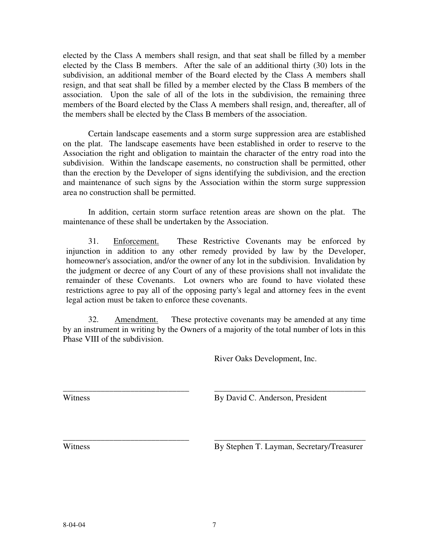elected by the Class A members shall resign, and that seat shall be filled by a member elected by the Class B members. After the sale of an additional thirty (30) lots in the subdivision, an additional member of the Board elected by the Class A members shall resign, and that seat shall be filled by a member elected by the Class B members of the association. Upon the sale of all of the lots in the subdivision, the remaining three members of the Board elected by the Class A members shall resign, and, thereafter, all of the members shall be elected by the Class B members of the association.

 Certain landscape easements and a storm surge suppression area are established on the plat. The landscape easements have been established in order to reserve to the Association the right and obligation to maintain the character of the entry road into the subdivision. Within the landscape easements, no construction shall be permitted, other than the erection by the Developer of signs identifying the subdivision, and the erection and maintenance of such signs by the Association within the storm surge suppression area no construction shall be permitted.

 In addition, certain storm surface retention areas are shown on the plat. The maintenance of these shall be undertaken by the Association.

31. Enforcement. These Restrictive Covenants may be enforced by injunction in addition to any other remedy provided by law by the Developer, homeowner's association, and/or the owner of any lot in the subdivision. Invalidation by the judgment or decree of any Court of any of these provisions shall not invalidate the remainder of these Covenants. Lot owners who are found to have violated these restrictions agree to pay all of the opposing party's legal and attorney fees in the event legal action must be taken to enforce these covenants.

 32. Amendment. These protective covenants may be amended at any time by an instrument in writing by the Owners of a majority of the total number of lots in this Phase VIII of the subdivision.

\_\_\_\_\_\_\_\_\_\_\_\_\_\_\_\_\_\_\_\_\_\_\_\_\_\_\_\_\_\_ \_\_\_\_\_\_\_\_\_\_\_\_\_\_\_\_\_\_\_\_\_\_\_\_\_\_\_\_\_\_\_\_\_\_\_\_

\_\_\_\_\_\_\_\_\_\_\_\_\_\_\_\_\_\_\_\_\_\_\_\_\_\_\_\_\_\_ \_\_\_\_\_\_\_\_\_\_\_\_\_\_\_\_\_\_\_\_\_\_\_\_\_\_\_\_\_\_\_\_\_\_\_\_

River Oaks Development, Inc.

Witness By David C. Anderson, President

Witness By Stephen T. Layman, Secretary/Treasurer